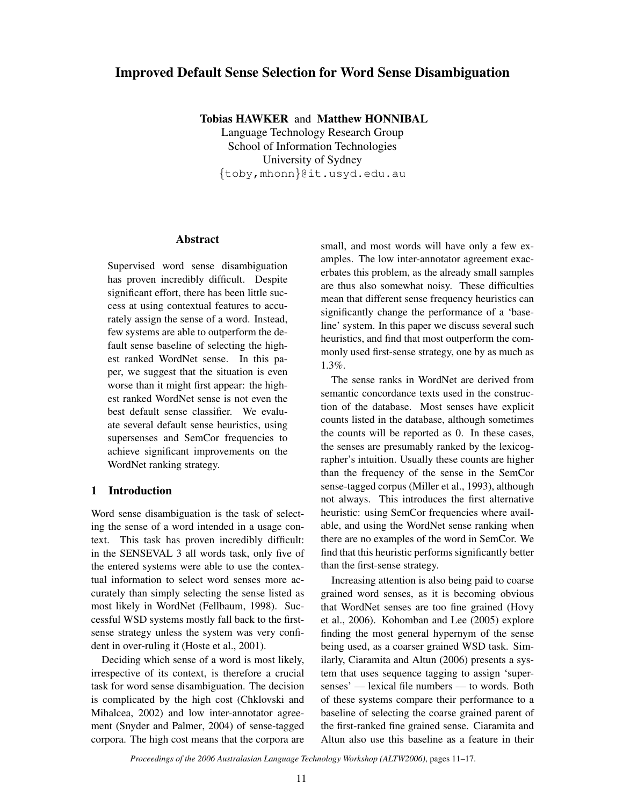# Improved Default Sense Selection for Word Sense Disambiguation

Tobias HAWKER and Matthew HONNIBAL

Language Technology Research Group School of Information Technologies University of Sydney {toby,mhonn}@it.usyd.edu.au

#### Abstract

Supervised word sense disambiguation has proven incredibly difficult. Despite significant effort, there has been little success at using contextual features to accurately assign the sense of a word. Instead, few systems are able to outperform the default sense baseline of selecting the highest ranked WordNet sense. In this paper, we suggest that the situation is even worse than it might first appear: the highest ranked WordNet sense is not even the best default sense classifier. We evaluate several default sense heuristics, using supersenses and SemCor frequencies to achieve significant improvements on the WordNet ranking strategy.

#### 1 Introduction

Word sense disambiguation is the task of selecting the sense of a word intended in a usage context. This task has proven incredibly difficult: in the SENSEVAL 3 all words task, only five of the entered systems were able to use the contextual information to select word senses more accurately than simply selecting the sense listed as most likely in WordNet (Fellbaum, 1998). Successful WSD systems mostly fall back to the firstsense strategy unless the system was very confident in over-ruling it (Hoste et al., 2001).

Deciding which sense of a word is most likely, irrespective of its context, is therefore a crucial task for word sense disambiguation. The decision is complicated by the high cost (Chklovski and Mihalcea, 2002) and low inter-annotator agreement (Snyder and Palmer, 2004) of sense-tagged corpora. The high cost means that the corpora are small, and most words will have only a few examples. The low inter-annotator agreement exacerbates this problem, as the already small samples are thus also somewhat noisy. These difficulties mean that different sense frequency heuristics can significantly change the performance of a 'baseline' system. In this paper we discuss several such heuristics, and find that most outperform the commonly used first-sense strategy, one by as much as 1.3%.

The sense ranks in WordNet are derived from semantic concordance texts used in the construction of the database. Most senses have explicit counts listed in the database, although sometimes the counts will be reported as 0. In these cases, the senses are presumably ranked by the lexicographer's intuition. Usually these counts are higher than the frequency of the sense in the SemCor sense-tagged corpus (Miller et al., 1993), although not always. This introduces the first alternative heuristic: using SemCor frequencies where available, and using the WordNet sense ranking when there are no examples of the word in SemCor. We find that this heuristic performs significantly better than the first-sense strategy.

Increasing attention is also being paid to coarse grained word senses, as it is becoming obvious that WordNet senses are too fine grained (Hovy et al., 2006). Kohomban and Lee (2005) explore finding the most general hypernym of the sense being used, as a coarser grained WSD task. Similarly, Ciaramita and Altun (2006) presents a system that uses sequence tagging to assign 'supersenses' — lexical file numbers — to words. Both of these systems compare their performance to a baseline of selecting the coarse grained parent of the first-ranked fine grained sense. Ciaramita and Altun also use this baseline as a feature in their

*Proceedings of the 2006 Australasian Language Technology Workshop (ALTW2006)*, pages 11–17.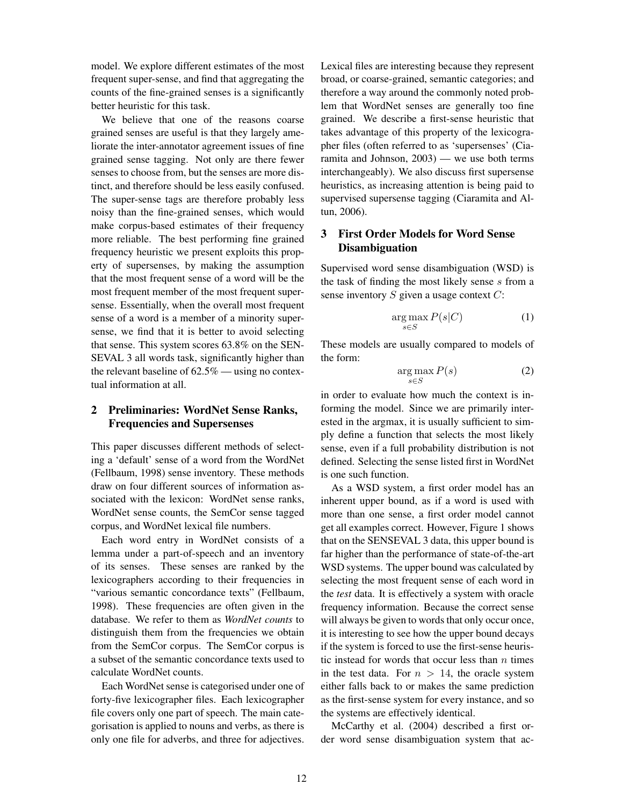model. We explore different estimates of the most frequent super-sense, and find that aggregating the counts of the fine-grained senses is a significantly better heuristic for this task.

We believe that one of the reasons coarse grained senses are useful is that they largely ameliorate the inter-annotator agreement issues of fine grained sense tagging. Not only are there fewer senses to choose from, but the senses are more distinct, and therefore should be less easily confused. The super-sense tags are therefore probably less noisy than the fine-grained senses, which would make corpus-based estimates of their frequency more reliable. The best performing fine grained frequency heuristic we present exploits this property of supersenses, by making the assumption that the most frequent sense of a word will be the most frequent member of the most frequent supersense. Essentially, when the overall most frequent sense of a word is a member of a minority supersense, we find that it is better to avoid selecting that sense. This system scores 63.8% on the SEN-SEVAL 3 all words task, significantly higher than the relevant baseline of  $62.5\%$  — using no contextual information at all.

# 2 Preliminaries: WordNet Sense Ranks, Frequencies and Supersenses

This paper discusses different methods of selecting a 'default' sense of a word from the WordNet (Fellbaum, 1998) sense inventory. These methods draw on four different sources of information associated with the lexicon: WordNet sense ranks, WordNet sense counts, the SemCor sense tagged corpus, and WordNet lexical file numbers.

Each word entry in WordNet consists of a lemma under a part-of-speech and an inventory of its senses. These senses are ranked by the lexicographers according to their frequencies in "various semantic concordance texts" (Fellbaum, 1998). These frequencies are often given in the database. We refer to them as *WordNet counts* to distinguish them from the frequencies we obtain from the SemCor corpus. The SemCor corpus is a subset of the semantic concordance texts used to calculate WordNet counts.

Each WordNet sense is categorised under one of forty-five lexicographer files. Each lexicographer file covers only one part of speech. The main categorisation is applied to nouns and verbs, as there is only one file for adverbs, and three for adjectives. Lexical files are interesting because they represent broad, or coarse-grained, semantic categories; and therefore a way around the commonly noted problem that WordNet senses are generally too fine grained. We describe a first-sense heuristic that takes advantage of this property of the lexicographer files (often referred to as 'supersenses' (Ciaramita and Johnson, 2003) — we use both terms interchangeably). We also discuss first supersense heuristics, as increasing attention is being paid to supervised supersense tagging (Ciaramita and Altun, 2006).

# 3 First Order Models for Word Sense Disambiguation

Supervised word sense disambiguation (WSD) is the task of finding the most likely sense s from a sense inventory  $S$  given a usage context  $C$ :

$$
\underset{s \in S}{\arg \max} P(s|C) \tag{1}
$$

These models are usually compared to models of the form:

$$
\underset{s \in S}{\arg \max} P(s) \tag{2}
$$

in order to evaluate how much the context is informing the model. Since we are primarily interested in the argmax, it is usually sufficient to simply define a function that selects the most likely sense, even if a full probability distribution is not defined. Selecting the sense listed first in WordNet is one such function.

As a WSD system, a first order model has an inherent upper bound, as if a word is used with more than one sense, a first order model cannot get all examples correct. However, Figure 1 shows that on the SENSEVAL 3 data, this upper bound is far higher than the performance of state-of-the-art WSD systems. The upper bound was calculated by selecting the most frequent sense of each word in the *test* data. It is effectively a system with oracle frequency information. Because the correct sense will always be given to words that only occur once, it is interesting to see how the upper bound decays if the system is forced to use the first-sense heuristic instead for words that occur less than  $n$  times in the test data. For  $n > 14$ , the oracle system either falls back to or makes the same prediction as the first-sense system for every instance, and so the systems are effectively identical.

McCarthy et al. (2004) described a first order word sense disambiguation system that ac-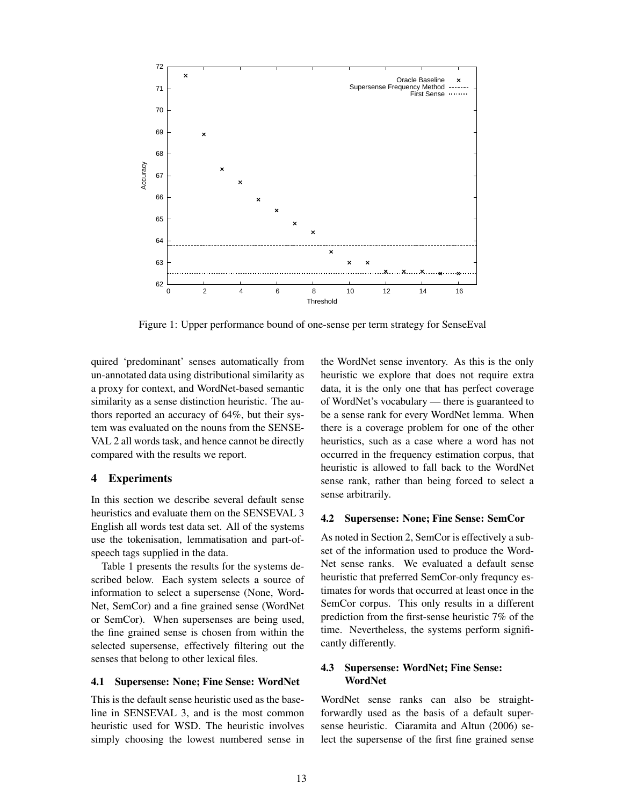

Figure 1: Upper performance bound of one-sense per term strategy for SenseEval

quired 'predominant' senses automatically from un-annotated data using distributional similarity as a proxy for context, and WordNet-based semantic similarity as a sense distinction heuristic. The authors reported an accuracy of 64%, but their system was evaluated on the nouns from the SENSE-VAL 2 all words task, and hence cannot be directly compared with the results we report.

#### 4 Experiments

In this section we describe several default sense heuristics and evaluate them on the SENSEVAL 3 English all words test data set. All of the systems use the tokenisation, lemmatisation and part-ofspeech tags supplied in the data.

Table 1 presents the results for the systems described below. Each system selects a source of information to select a supersense (None, Word-Net, SemCor) and a fine grained sense (WordNet or SemCor). When supersenses are being used, the fine grained sense is chosen from within the selected supersense, effectively filtering out the senses that belong to other lexical files.

#### 4.1 Supersense: None; Fine Sense: WordNet

This is the default sense heuristic used as the baseline in SENSEVAL 3, and is the most common heuristic used for WSD. The heuristic involves simply choosing the lowest numbered sense in

the WordNet sense inventory. As this is the only heuristic we explore that does not require extra data, it is the only one that has perfect coverage of WordNet's vocabulary — there is guaranteed to be a sense rank for every WordNet lemma. When there is a coverage problem for one of the other heuristics, such as a case where a word has not occurred in the frequency estimation corpus, that heuristic is allowed to fall back to the WordNet sense rank, rather than being forced to select a sense arbitrarily.

#### 4.2 Supersense: None; Fine Sense: SemCor

As noted in Section 2, SemCor is effectively a subset of the information used to produce the Word-Net sense ranks. We evaluated a default sense heuristic that preferred SemCor-only frequncy estimates for words that occurred at least once in the SemCor corpus. This only results in a different prediction from the first-sense heuristic 7% of the time. Nevertheless, the systems perform significantly differently.

## 4.3 Supersense: WordNet; Fine Sense: WordNet

WordNet sense ranks can also be straightforwardly used as the basis of a default supersense heuristic. Ciaramita and Altun (2006) select the supersense of the first fine grained sense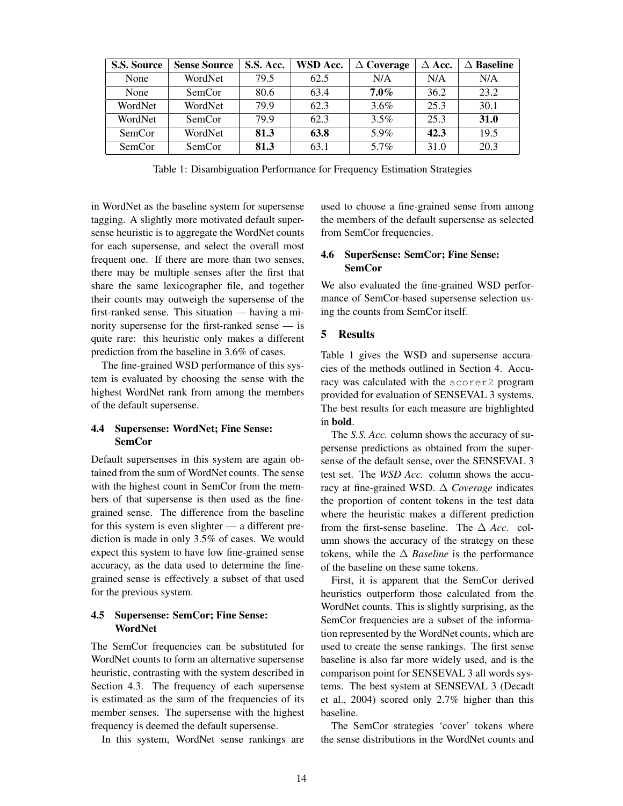| <b>S.S. Source</b> | <b>Sense Source</b> | S.S. Acc. | WSD Acc. | $\Delta$ Coverage | $\Delta$ Acc. | $\Delta$ Baseline |
|--------------------|---------------------|-----------|----------|-------------------|---------------|-------------------|
| None               | WordNet             | 79.5      | 62.5     | N/A               | N/A           | N/A               |
| None               | SemCor              | 80.6      | 63.4     | $7.0\%$           | 36.2          | 23.2              |
| WordNet            | WordNet             | 79.9      | 62.3     | 3.6%              | 25.3          | 30.1              |
| WordNet            | SemCor              | 79.9      | 62.3     | 3.5%              | 25.3          | 31.0              |
| SemCor             | WordNet             | 81.3      | 63.8     | 5.9%              | 42.3          | 19.5              |
| SemCor             | SemCor              | 81.3      | 63.1     | $5.7\%$           | 31.0          | 20.3              |

Table 1: Disambiguation Performance for Frequency Estimation Strategies

in WordNet as the baseline system for supersense tagging. A slightly more motivated default supersense heuristic is to aggregate the WordNet counts for each supersense, and select the overall most frequent one. If there are more than two senses, there may be multiple senses after the first that share the same lexicographer file, and together their counts may outweigh the supersense of the first-ranked sense. This situation — having a minority supersense for the first-ranked sense — is quite rare: this heuristic only makes a different prediction from the baseline in 3.6% of cases.

The fine-grained WSD performance of this system is evaluated by choosing the sense with the highest WordNet rank from among the members of the default supersense.

#### 4.4 Supersense: WordNet; Fine Sense: SemCor

Default supersenses in this system are again obtained from the sum of WordNet counts. The sense with the highest count in SemCor from the members of that supersense is then used as the finegrained sense. The difference from the baseline for this system is even slighter — a different prediction is made in only 3.5% of cases. We would expect this system to have low fine-grained sense accuracy, as the data used to determine the finegrained sense is effectively a subset of that used for the previous system.

## 4.5 Supersense: SemCor; Fine Sense: WordNet

The SemCor frequencies can be substituted for WordNet counts to form an alternative supersense heuristic, contrasting with the system described in Section 4.3. The frequency of each supersense is estimated as the sum of the frequencies of its member senses. The supersense with the highest frequency is deemed the default supersense.

In this system, WordNet sense rankings are

used to choose a fine-grained sense from among the members of the default supersense as selected from SemCor frequencies.

## 4.6 SuperSense: SemCor; Fine Sense: SemCor

We also evaluated the fine-grained WSD performance of SemCor-based supersense selection using the counts from SemCor itself.

### 5 Results

Table 1 gives the WSD and supersense accuracies of the methods outlined in Section 4. Accuracy was calculated with the scorer2 program provided for evaluation of SENSEVAL 3 systems. The best results for each measure are highlighted in bold.

The *S.S. Acc.* column shows the accuracy of supersense predictions as obtained from the supersense of the default sense, over the SENSEVAL 3 test set. The *WSD Acc.* column shows the accuracy at fine-grained WSD. ∆ *Coverage* indicates the proportion of content tokens in the test data where the heuristic makes a different prediction from the first-sense baseline. The ∆ *Acc.* column shows the accuracy of the strategy on these tokens, while the ∆ *Baseline* is the performance of the baseline on these same tokens.

First, it is apparent that the SemCor derived heuristics outperform those calculated from the WordNet counts. This is slightly surprising, as the SemCor frequencies are a subset of the information represented by the WordNet counts, which are used to create the sense rankings. The first sense baseline is also far more widely used, and is the comparison point for SENSEVAL 3 all words systems. The best system at SENSEVAL 3 (Decadt et al., 2004) scored only 2.7% higher than this baseline.

The SemCor strategies 'cover' tokens where the sense distributions in the WordNet counts and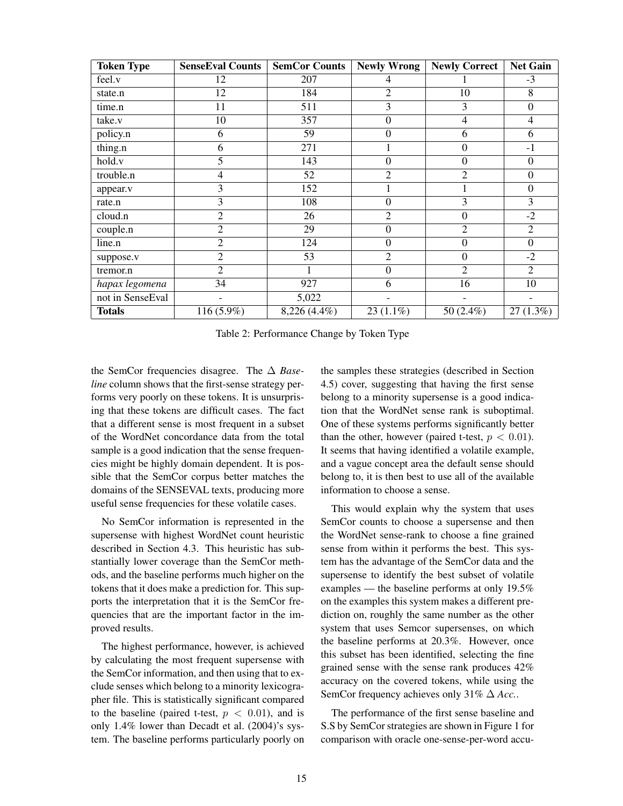| <b>Token Type</b> | <b>SenseEval Counts</b> | <b>SemCor Counts</b> | <b>Newly Wrong</b> | <b>Newly Correct</b> | <b>Net Gain</b>  |
|-------------------|-------------------------|----------------------|--------------------|----------------------|------------------|
| feel.v            | 12                      | 207                  | 4                  |                      | $-3$             |
| state.n           | 12                      | 184                  | $\overline{2}$     | 10                   | 8                |
| time.n            | 11                      | 511                  | 3                  | 3                    | $\mathbf{0}$     |
| take.v            | 10                      | 357                  | $\overline{0}$     | 4                    | 4                |
| policy.n          | 6                       | 59                   | $\boldsymbol{0}$   | 6                    | 6                |
| thing.n           | 6                       | 271                  |                    | $\mathbf{0}$         | $-1$             |
| hold.v            | 5                       | 143                  | $\boldsymbol{0}$   | $\boldsymbol{0}$     | $\boldsymbol{0}$ |
| trouble.n         | 4                       | 52                   | $\overline{2}$     | $\overline{c}$       | $\mathbf{0}$     |
| appear.v          | 3                       | 152                  |                    |                      | $\boldsymbol{0}$ |
| rate.n            | 3                       | 108                  | $\overline{0}$     | 3                    | 3                |
| cloud.n           | $\overline{2}$          | 26                   | $\overline{2}$     | $\mathbf{0}$         | $-2$             |
| couple.n          | $\overline{2}$          | 29                   | $\boldsymbol{0}$   | $\overline{2}$       | $\overline{2}$   |
| line.n            | $\overline{2}$          | 124                  | $\overline{0}$     | $\boldsymbol{0}$     | $\overline{0}$   |
| suppose.v         | $\overline{2}$          | 53                   | $\overline{2}$     | $\mathbf{0}$         | $-2$             |
| tremor.n          | $\overline{2}$          |                      | $\Omega$           | $\overline{2}$       | $\overline{2}$   |
| hapax legomena    | 34                      | 927                  | 6                  | 16                   | 10               |
| not in SenseEval  |                         | 5,022                |                    |                      |                  |
| <b>Totals</b>     | 116 (5.9%)              | 8,226 (4.4%)         | $23(1.1\%)$        | 50 (2.4%)            | 27(1.3%)         |

Table 2: Performance Change by Token Type

the SemCor frequencies disagree. The ∆ *Baseline* column shows that the first-sense strategy performs very poorly on these tokens. It is unsurprising that these tokens are difficult cases. The fact that a different sense is most frequent in a subset of the WordNet concordance data from the total sample is a good indication that the sense frequencies might be highly domain dependent. It is possible that the SemCor corpus better matches the domains of the SENSEVAL texts, producing more useful sense frequencies for these volatile cases.

No SemCor information is represented in the supersense with highest WordNet count heuristic described in Section 4.3. This heuristic has substantially lower coverage than the SemCor methods, and the baseline performs much higher on the tokens that it does make a prediction for. This supports the interpretation that it is the SemCor frequencies that are the important factor in the improved results.

The highest performance, however, is achieved by calculating the most frequent supersense with the SemCor information, and then using that to exclude senses which belong to a minority lexicographer file. This is statistically significant compared to the baseline (paired t-test,  $p < 0.01$ ), and is only 1.4% lower than Decadt et al. (2004)'s system. The baseline performs particularly poorly on

the samples these strategies (described in Section 4.5) cover, suggesting that having the first sense belong to a minority supersense is a good indication that the WordNet sense rank is suboptimal. One of these systems performs significantly better than the other, however (paired t-test,  $p < 0.01$ ). It seems that having identified a volatile example, and a vague concept area the default sense should belong to, it is then best to use all of the available information to choose a sense.

This would explain why the system that uses SemCor counts to choose a supersense and then the WordNet sense-rank to choose a fine grained sense from within it performs the best. This system has the advantage of the SemCor data and the supersense to identify the best subset of volatile examples — the baseline performs at only 19.5% on the examples this system makes a different prediction on, roughly the same number as the other system that uses Semcor supersenses, on which the baseline performs at 20.3%. However, once this subset has been identified, selecting the fine grained sense with the sense rank produces 42% accuracy on the covered tokens, while using the SemCor frequency achieves only 31% ∆ *Acc.*.

The performance of the first sense baseline and S.S by SemCor strategies are shown in Figure 1 for comparison with oracle one-sense-per-word accu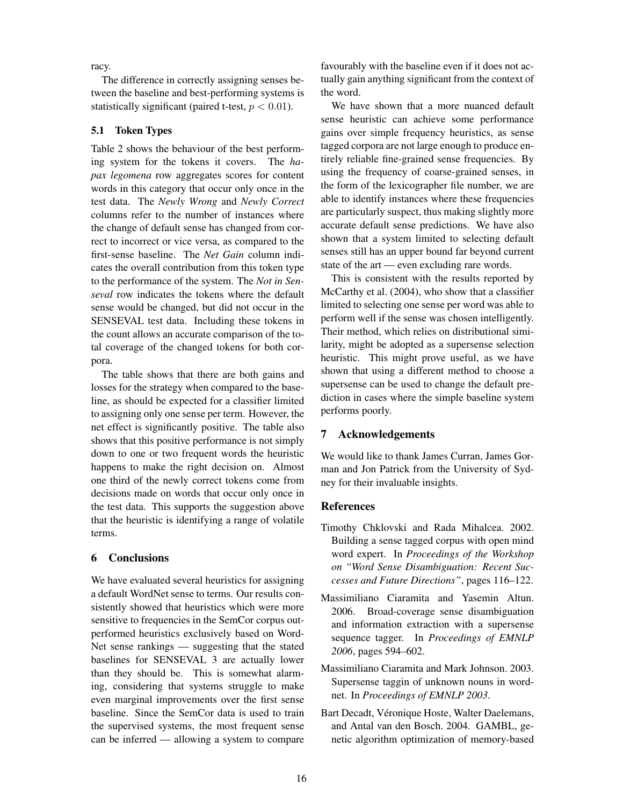racy.

The difference in correctly assigning senses between the baseline and best-performing systems is statistically significant (paired t-test,  $p < 0.01$ ).

## 5.1 Token Types

Table 2 shows the behaviour of the best performing system for the tokens it covers. The *hapax legomena* row aggregates scores for content words in this category that occur only once in the test data. The *Newly Wrong* and *Newly Correct* columns refer to the number of instances where the change of default sense has changed from correct to incorrect or vice versa, as compared to the first-sense baseline. The *Net Gain* column indicates the overall contribution from this token type to the performance of the system. The *Not in Senseval* row indicates the tokens where the default sense would be changed, but did not occur in the SENSEVAL test data. Including these tokens in the count allows an accurate comparison of the total coverage of the changed tokens for both corpora.

The table shows that there are both gains and losses for the strategy when compared to the baseline, as should be expected for a classifier limited to assigning only one sense per term. However, the net effect is significantly positive. The table also shows that this positive performance is not simply down to one or two frequent words the heuristic happens to make the right decision on. Almost one third of the newly correct tokens come from decisions made on words that occur only once in the test data. This supports the suggestion above that the heuristic is identifying a range of volatile terms.

### 6 Conclusions

We have evaluated several heuristics for assigning a default WordNet sense to terms. Our results consistently showed that heuristics which were more sensitive to frequencies in the SemCor corpus outperformed heuristics exclusively based on Word-Net sense rankings — suggesting that the stated baselines for SENSEVAL 3 are actually lower than they should be. This is somewhat alarming, considering that systems struggle to make even marginal improvements over the first sense baseline. Since the SemCor data is used to train the supervised systems, the most frequent sense can be inferred — allowing a system to compare favourably with the baseline even if it does not actually gain anything significant from the context of the word.

We have shown that a more nuanced default sense heuristic can achieve some performance gains over simple frequency heuristics, as sense tagged corpora are not large enough to produce entirely reliable fine-grained sense frequencies. By using the frequency of coarse-grained senses, in the form of the lexicographer file number, we are able to identify instances where these frequencies are particularly suspect, thus making slightly more accurate default sense predictions. We have also shown that a system limited to selecting default senses still has an upper bound far beyond current state of the art — even excluding rare words.

This is consistent with the results reported by McCarthy et al. (2004), who show that a classifier limited to selecting one sense per word was able to perform well if the sense was chosen intelligently. Their method, which relies on distributional similarity, might be adopted as a supersense selection heuristic. This might prove useful, as we have shown that using a different method to choose a supersense can be used to change the default prediction in cases where the simple baseline system performs poorly.

# 7 Acknowledgements

We would like to thank James Curran, James Gorman and Jon Patrick from the University of Sydney for their invaluable insights.

### **References**

- Timothy Chklovski and Rada Mihalcea. 2002. Building a sense tagged corpus with open mind word expert. In *Proceedings of the Workshop on "Word Sense Disambiguation: Recent Successes and Future Directions"*, pages 116–122.
- Massimiliano Ciaramita and Yasemin Altun. 2006. Broad-coverage sense disambiguation and information extraction with a supersense sequence tagger. In *Proceedings of EMNLP 2006*, pages 594–602.
- Massimiliano Ciaramita and Mark Johnson. 2003. Supersense taggin of unknown nouns in wordnet. In *Proceedings of EMNLP 2003*.
- Bart Decadt, Véronique Hoste, Walter Daelemans, and Antal van den Bosch. 2004. GAMBL, genetic algorithm optimization of memory-based